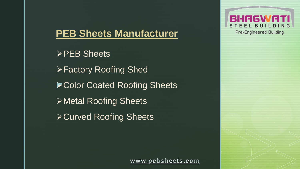# **PEB Sheets Manufacturer**

▶ Color Coated Roofing Sheets **≻PEB Sheets Factory Roofing Shed** Metal Roofing Sheets **≻Curved Roofing Sheets** 

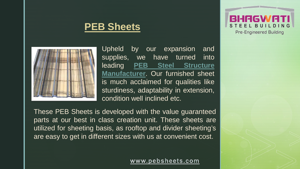## **PEB Sheets**



Upheld by our expansion and supplies, we have turned into leading **[PEB](http://pebsheets.com/peb-sheets.php) [Steel](http://pebsheets.com/peb-sheets.php) [Structure](http://pebsheets.com/peb-sheets.php) [Manufacturer](http://pebsheets.com/peb-sheets.php)**. Our furnished sheet is much acclaimed for qualities like sturdiness, adaptability in extension, condition well inclined etc.

These PEB Sheets is developed with the value guaranteed parts at our best in class creation unit. These sheets are utilized for sheeting basis, as rooftop and divider sheeting's are easy to get in different sizes with us at convenient cost.

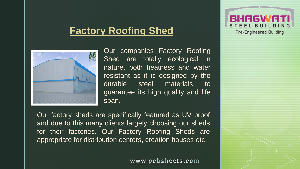## **Factory Roofing Shed**



Our companies Factory Roofing Shed are totally ecological in nature, both heatness and water resistant as it is designed by the durable steel materials to guarantee its high quality and life span.

Our factory sheds are specifically featured as UV proof and due to this many clients largely choosing our sheds for their factories. Our Factory Roofing Sheds are appropriate for distribution centers, creation houses etc.

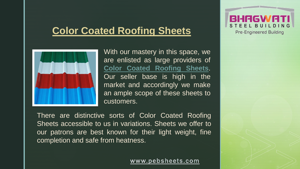## **Color Coated Roofing Sheets**



With our mastery in this space, we are enlisted as large providers of **Color Coated [Roofing](http://pebsheets.com/color-coated-roofing-sheets.php) Sheets**. Our seller base is high in the market and accordingly we make an ample scope of these sheets to customers.

There are distinctive sorts of Color Coated Roofing Sheets accessible to us in variations. Sheets we offer to our patrons are best known for their light weight, fine completion and safe from heatness.

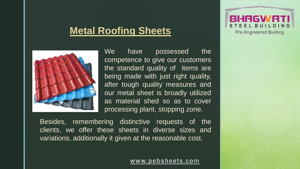## **Metal Roofing Sheets**



We have possessed the competence to give our customers the standard quality of items are being made with just right quality, after tough quality measures and our metal sheet is broadly utilized as material shed so as to cover processing plant, stopping zone.

Besides, remembering distinctive requests of the clients, we offer these sheets in diverse sizes and variations, additionally it given at the reasonable cost.

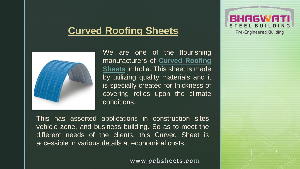## **Curved Roofing Sheets**



We are one of the flourishing manufacturers of **Curved [Roofing](http://pebsheets.com/enquiry.php) [Sheets](http://pebsheets.com/enquiry.php)** in India. This sheet is made by utilizing quality materials and it is specially created for thickness of covering relies upon the climate conditions.

This has assorted applications in construction sites vehicle zone, and business building. So as to meet the different needs of the clients, this Curved Sheet is accessible in various details at economical costs.

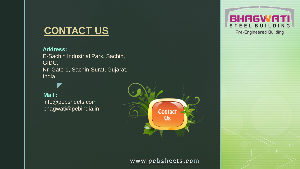# **CONTACT US**

### **Address:**

E-Sachin Industrial Park, Sachin, GIDC, Nr. Gate-1, Sachin-Surat, Gujarat, India.

#### **Mail :**

 $\blacktriangledown$ 

info@pebsheets.com bhagwati@pebindia.in